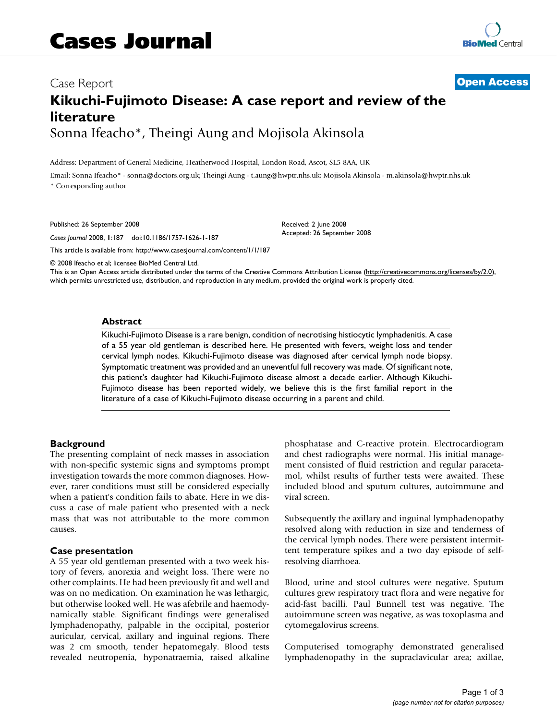# Case Report **[Open Access](http://www.biomedcentral.com/info/about/charter/) Kikuchi-Fujimoto Disease: A case report and review of the literature** Sonna Ifeacho\*, Theingi Aung and Mojisola Akinsola

Address: Department of General Medicine, Heatherwood Hospital, London Road, Ascot, SL5 8AA, UK

Email: Sonna Ifeacho\* - sonna@doctors.org.uk; Theingi Aung - t.aung@hwptr.nhs.uk; Mojisola Akinsola - m.akinsola@hwptr.nhs.uk \* Corresponding author

Published: 26 September 2008

*Cases Journal* 2008, **1**:187 doi:10.1186/1757-1626-1-187

[This article is available from: http://www.casesjournal.com/content/1/1/187](http://www.casesjournal.com/content/1/1/187)

© 2008 Ifeacho et al; licensee BioMed Central Ltd.

This is an Open Access article distributed under the terms of the Creative Commons Attribution License [\(http://creativecommons.org/licenses/by/2.0\)](http://creativecommons.org/licenses/by/2.0), which permits unrestricted use, distribution, and reproduction in any medium, provided the original work is properly cited.

Received: 2 June 2008 Accepted: 26 September 2008

#### **Abstract**

Kikuchi-Fujimoto Disease is a rare benign, condition of necrotising histiocytic lymphadenitis. A case of a 55 year old gentleman is described here. He presented with fevers, weight loss and tender cervical lymph nodes. Kikuchi-Fujimoto disease was diagnosed after cervical lymph node biopsy. Symptomatic treatment was provided and an uneventful full recovery was made. Of significant note, this patient's daughter had Kikuchi-Fujimoto disease almost a decade earlier. Although Kikuchi-Fujimoto disease has been reported widely, we believe this is the first familial report in the literature of a case of Kikuchi-Fujimoto disease occurring in a parent and child.

# **Background**

The presenting complaint of neck masses in association with non-specific systemic signs and symptoms prompt investigation towards the more common diagnoses. However, rarer conditions must still be considered especially when a patient's condition fails to abate. Here in we discuss a case of male patient who presented with a neck mass that was not attributable to the more common causes.

#### **Case presentation**

A 55 year old gentleman presented with a two week history of fevers, anorexia and weight loss. There were no other complaints. He had been previously fit and well and was on no medication. On examination he was lethargic, but otherwise looked well. He was afebrile and haemodynamically stable. Significant findings were generalised lymphadenopathy, palpable in the occipital, posterior auricular, cervical, axillary and inguinal regions. There was 2 cm smooth, tender hepatomegaly. Blood tests revealed neutropenia, hyponatraemia, raised alkaline phosphatase and C-reactive protein. Electrocardiogram and chest radiographs were normal. His initial management consisted of fluid restriction and regular paracetamol, whilst results of further tests were awaited. These included blood and sputum cultures, autoimmune and viral screen.

Subsequently the axillary and inguinal lymphadenopathy resolved along with reduction in size and tenderness of the cervical lymph nodes. There were persistent intermittent temperature spikes and a two day episode of selfresolving diarrhoea.

Blood, urine and stool cultures were negative. Sputum cultures grew respiratory tract flora and were negative for acid-fast bacilli. Paul Bunnell test was negative. The autoimmune screen was negative, as was toxoplasma and cytomegalovirus screens.

Computerised tomography demonstrated generalised lymphadenopathy in the supraclavicular area; axillae,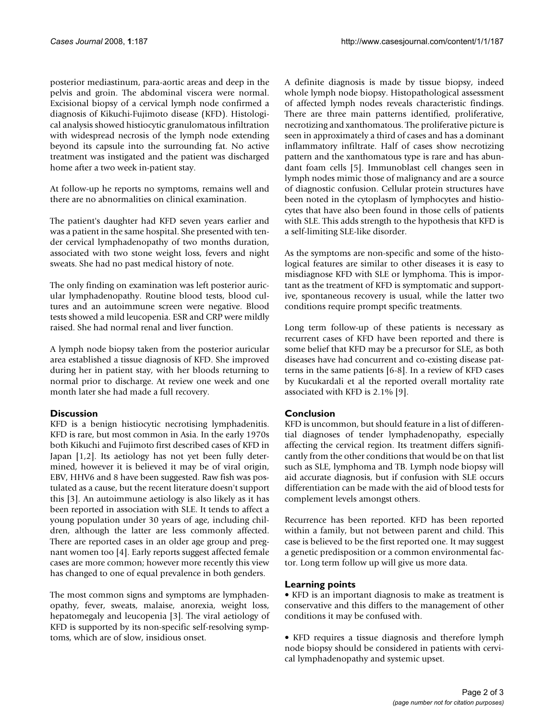posterior mediastinum, para-aortic areas and deep in the pelvis and groin. The abdominal viscera were normal. Excisional biopsy of a cervical lymph node confirmed a diagnosis of Kikuchi-Fujimoto disease (KFD). Histological analysis showed histiocytic granulomatous infiltration with widespread necrosis of the lymph node extending beyond its capsule into the surrounding fat. No active treatment was instigated and the patient was discharged home after a two week in-patient stay.

At follow-up he reports no symptoms, remains well and there are no abnormalities on clinical examination.

The patient's daughter had KFD seven years earlier and was a patient in the same hospital. She presented with tender cervical lymphadenopathy of two months duration, associated with two stone weight loss, fevers and night sweats. She had no past medical history of note.

The only finding on examination was left posterior auricular lymphadenopathy. Routine blood tests, blood cultures and an autoimmune screen were negative. Blood tests showed a mild leucopenia. ESR and CRP were mildly raised. She had normal renal and liver function.

A lymph node biopsy taken from the posterior auricular area established a tissue diagnosis of KFD. She improved during her in patient stay, with her bloods returning to normal prior to discharge. At review one week and one month later she had made a full recovery.

# **Discussion**

KFD is a benign histiocytic necrotising lymphadenitis. KFD is rare, but most common in Asia. In the early 1970s both Kikuchi and Fujimoto first described cases of KFD in Japan [1,2]. Its aetiology has not yet been fully determined, however it is believed it may be of viral origin, EBV, HHV6 and 8 have been suggested. Raw fish was postulated as a cause, but the recent literature doesn't support this [3]. An autoimmune aetiology is also likely as it has been reported in association with SLE. It tends to affect a young population under 30 years of age, including children, although the latter are less commonly affected. There are reported cases in an older age group and pregnant women too [4]. Early reports suggest affected female cases are more common; however more recently this view has changed to one of equal prevalence in both genders.

The most common signs and symptoms are lymphadenopathy, fever, sweats, malaise, anorexia, weight loss, hepatomegaly and leucopenia [3]. The viral aetiology of KFD is supported by its non-specific self-resolving symptoms, which are of slow, insidious onset.

A definite diagnosis is made by tissue biopsy, indeed whole lymph node biopsy. Histopathological assessment of affected lymph nodes reveals characteristic findings. There are three main patterns identified, proliferative, necrotizing and xanthomatous. The proliferative picture is seen in approximately a third of cases and has a dominant inflammatory infiltrate. Half of cases show necrotizing pattern and the xanthomatous type is rare and has abundant foam cells [5]. Immunoblast cell changes seen in lymph nodes mimic those of malignancy and are a source of diagnostic confusion. Cellular protein structures have been noted in the cytoplasm of lymphocytes and histiocytes that have also been found in those cells of patients with SLE. This adds strength to the hypothesis that KFD is a self-limiting SLE-like disorder.

As the symptoms are non-specific and some of the histological features are similar to other diseases it is easy to misdiagnose KFD with SLE or lymphoma. This is important as the treatment of KFD is symptomatic and supportive, spontaneous recovery is usual, while the latter two conditions require prompt specific treatments.

Long term follow-up of these patients is necessary as recurrent cases of KFD have been reported and there is some belief that KFD may be a precursor for SLE, as both diseases have had concurrent and co-existing disease patterns in the same patients [6-8]. In a review of KFD cases by Kucukardali et al the reported overall mortality rate associated with KFD is 2.1% [9].

# **Conclusion**

KFD is uncommon, but should feature in a list of differential diagnoses of tender lymphadenopathy, especially affecting the cervical region. Its treatment differs significantly from the other conditions that would be on that list such as SLE, lymphoma and TB. Lymph node biopsy will aid accurate diagnosis, but if confusion with SLE occurs differentiation can be made with the aid of blood tests for complement levels amongst others.

Recurrence has been reported. KFD has been reported within a family, but not between parent and child. This case is believed to be the first reported one. It may suggest a genetic predisposition or a common environmental factor. Long term follow up will give us more data.

#### **Learning points**

• KFD is an important diagnosis to make as treatment is conservative and this differs to the management of other conditions it may be confused with.

• KFD requires a tissue diagnosis and therefore lymph node biopsy should be considered in patients with cervical lymphadenopathy and systemic upset.